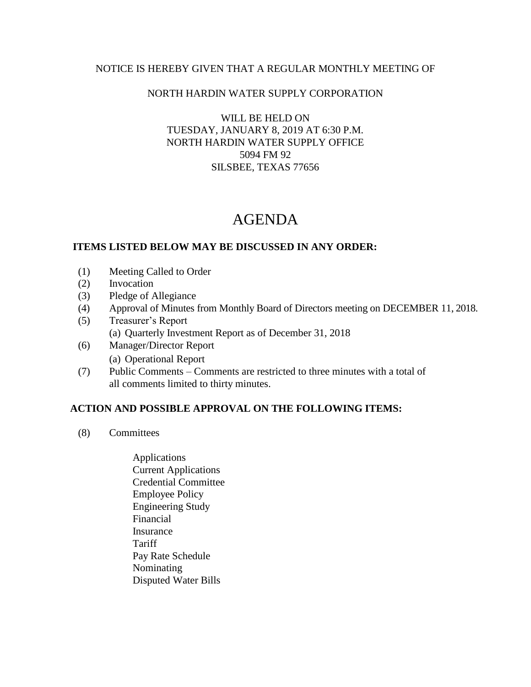### NOTICE IS HEREBY GIVEN THAT A REGULAR MONTHLY MEETING OF

### NORTH HARDIN WATER SUPPLY CORPORATION

WILL BE HELD ON TUESDAY, JANUARY 8, 2019 AT 6:30 P.M. NORTH HARDIN WATER SUPPLY OFFICE 5094 FM 92 SILSBEE, TEXAS 77656

# AGENDA

### **ITEMS LISTED BELOW MAY BE DISCUSSED IN ANY ORDER:**

- (1) Meeting Called to Order
- (2) Invocation
- (3) Pledge of Allegiance
- (4) Approval of Minutes from Monthly Board of Directors meeting on DECEMBER 11, 2018.
- (5) Treasurer's Report (a) Quarterly Investment Report as of December 31, 2018
- (6) Manager/Director Report (a) Operational Report
- (7) Public Comments Comments are restricted to three minutes with a total of all comments limited to thirty minutes.

## **ACTION AND POSSIBLE APPROVAL ON THE FOLLOWING ITEMS:**

- (8) Committees
	- Applications Current Applications Credential Committee Employee Policy Engineering Study Financial Insurance **Tariff**  Pay Rate Schedule Nominating Disputed Water Bills